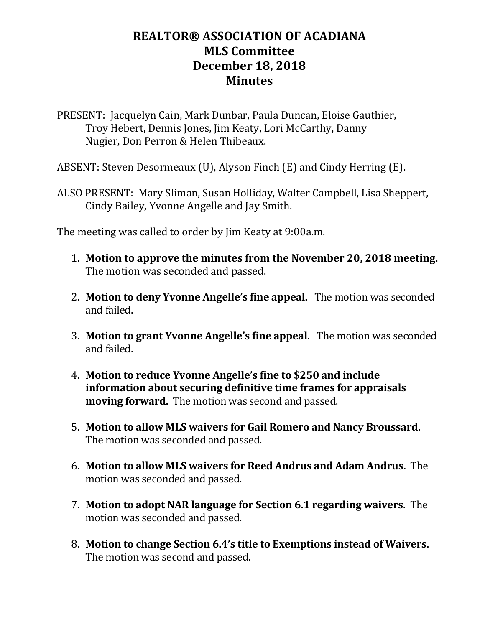## **REALTOR® ASSOCIATION OF ACADIANA MLS Committee December 18, 2018 Minutes**

PRESENT: Jacquelyn Cain, Mark Dunbar, Paula Duncan, Eloise Gauthier, Troy Hebert, Dennis Jones, Jim Keaty, Lori McCarthy, Danny Nugier, Don Perron & Helen Thibeaux.

ABSENT: Steven Desormeaux (U), Alyson Finch (E) and Cindy Herring (E).

ALSO PRESENT: Mary Sliman, Susan Holliday, Walter Campbell, Lisa Sheppert, Cindy Bailey, Yvonne Angelle and Jay Smith.

The meeting was called to order by Jim Keaty at 9:00a.m.

- 1. **Motion to approve the minutes from the November 20, 2018 meeting.** The motion was seconded and passed.
- 2. **Motion to deny Yvonne Angelle's fine appeal.** The motion was seconded and failed.
- 3. **Motion to grant Yvonne Angelle's fine appeal.** The motion was seconded and failed.
- 4. **Motion to reduce Yvonne Angelle's fine to \$250 and include information about securing definitive time frames for appraisals moving forward.** The motion was second and passed.
- 5. **Motion to allow MLS waivers for Gail Romero and Nancy Broussard.**  The motion was seconded and passed.
- 6. **Motion to allow MLS waivers for Reed Andrus and Adam Andrus.** The motion was seconded and passed.
- 7. **Motion to adopt NAR language for Section 6.1 regarding waivers.** The motion was seconded and passed.
- 8. **Motion to change Section 6.4's title to Exemptions instead of Waivers.** The motion was second and passed.